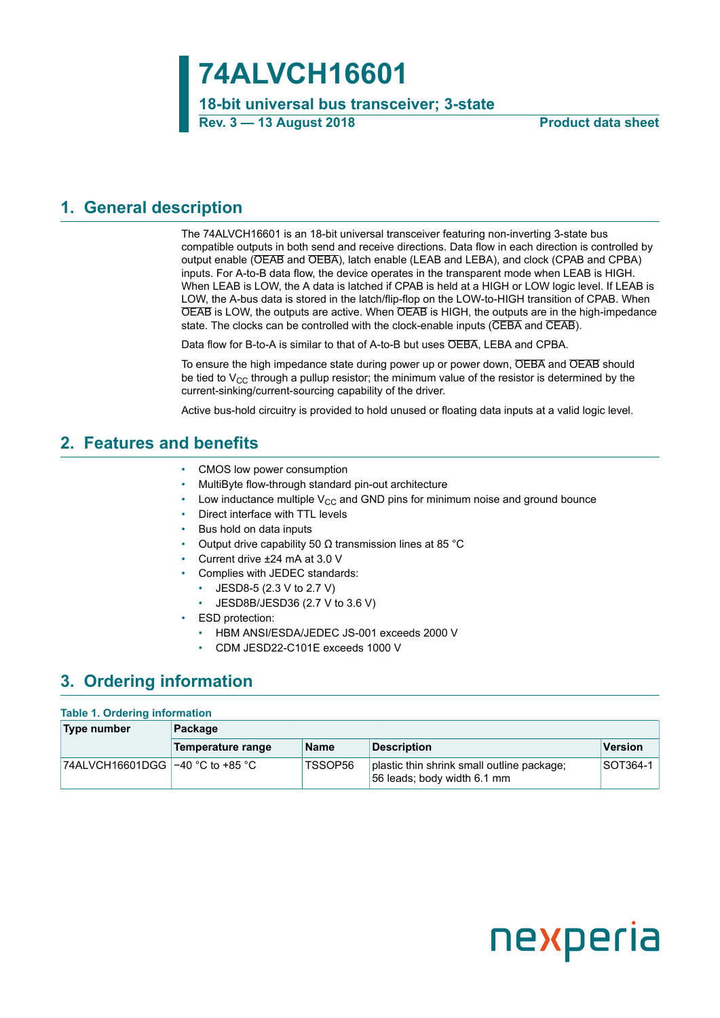# **74ALVCH16601**

**18-bit universal bus transceiver; 3-state Rev. 3 — 13 August 2018 Product data sheet**

### <span id="page-0-0"></span>**1. General description**

The 74ALVCH16601 is an 18-bit universal transceiver featuring non-inverting 3-state bus compatible outputs in both send and receive directions. Data flow in each direction is controlled by output enable (OEAB and OEBA), latch enable (LEAB and LEBA), and clock (CPAB and CPBA) inputs. For A-to-B data flow, the device operates in the transparent mode when LEAB is HIGH. When LEAB is LOW, the A data is latched if CPAB is held at a HIGH or LOW logic level. If LEAB is LOW, the A-bus data is stored in the latch/flip-flop on the LOW-to-HIGH transition of CPAB. When OEAB is LOW, the outputs are active. When OEAB is HIGH, the outputs are in the high-impedance state. The clocks can be controlled with the clock-enable inputs (CEBA and CEAB).

Data flow for B-to-A is similar to that of A-to-B but uses OEBA, LEBA and CPBA.

To ensure the high impedance state during power up or power down, OEBA and OEAB should be tied to  $V_{CC}$  through a pullup resistor; the minimum value of the resistor is determined by the current-sinking/current-sourcing capability of the driver.

Active bus-hold circuitry is provided to hold unused or floating data inputs at a valid logic level.

### <span id="page-0-1"></span>**2. Features and benefits**

- CMOS low power consumption
- MultiByte flow-through standard pin-out architecture
- Low inductance multiple  $V_{CC}$  and GND pins for minimum noise and ground bounce
- Direct interface with TTL levels
- Bus hold on data inputs
- Output drive capability 50 Ω transmission lines at 85 °C
- Current drive ±24 mA at 3.0 V
- Complies with JEDEC standards:
	- JESD8-5 (2.3 V to 2.7 V)
	- JESD8B/JESD36 (2.7 V to 3.6 V)
- ESD protection:
	- HBM ANSI/ESDA/JEDEC JS-001 exceeds 2000 V
	- CDM JESD22-C101E exceeds 1000 V

### <span id="page-0-2"></span>**3. Ordering information**

#### **Table 1. Ordering information**

| Type number | Package           |             |                                                                           |                 |  |  |  |
|-------------|-------------------|-------------|---------------------------------------------------------------------------|-----------------|--|--|--|
|             | Temperature range | <b>Name</b> | <b>Description</b>                                                        | <b>Version</b>  |  |  |  |
|             |                   | TSSOP56     | plastic thin shrink small outline package;<br>56 leads; body width 6.1 mm | <b>SOT364-1</b> |  |  |  |

# nexperia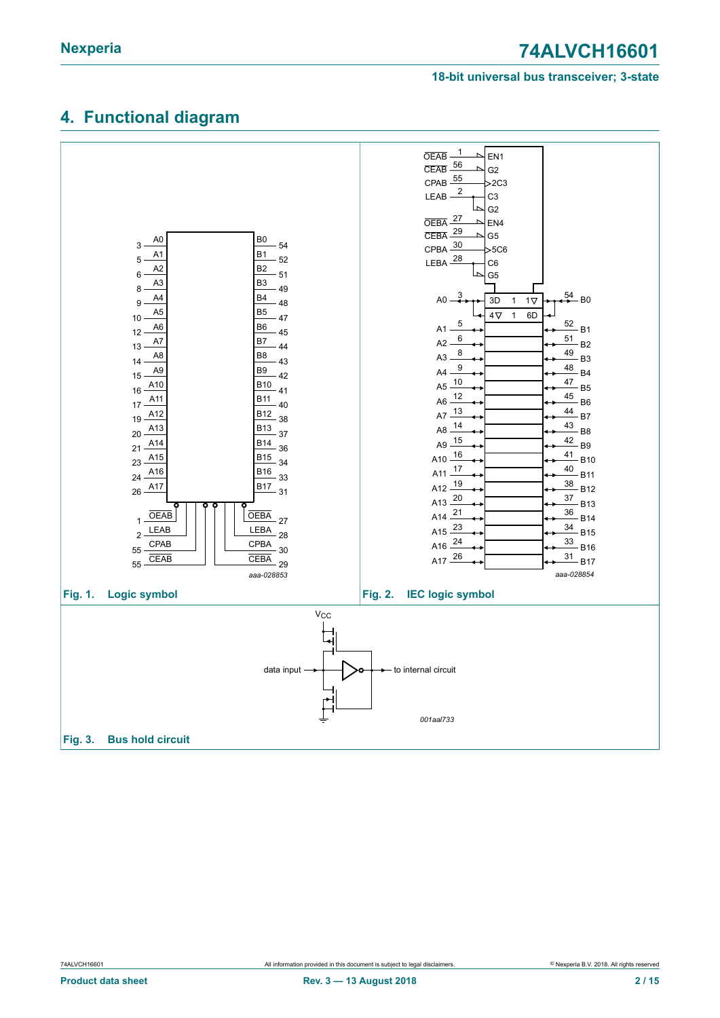#### **18-bit universal bus transceiver; 3-state**

### <span id="page-1-0"></span>**4. Functional diagram**

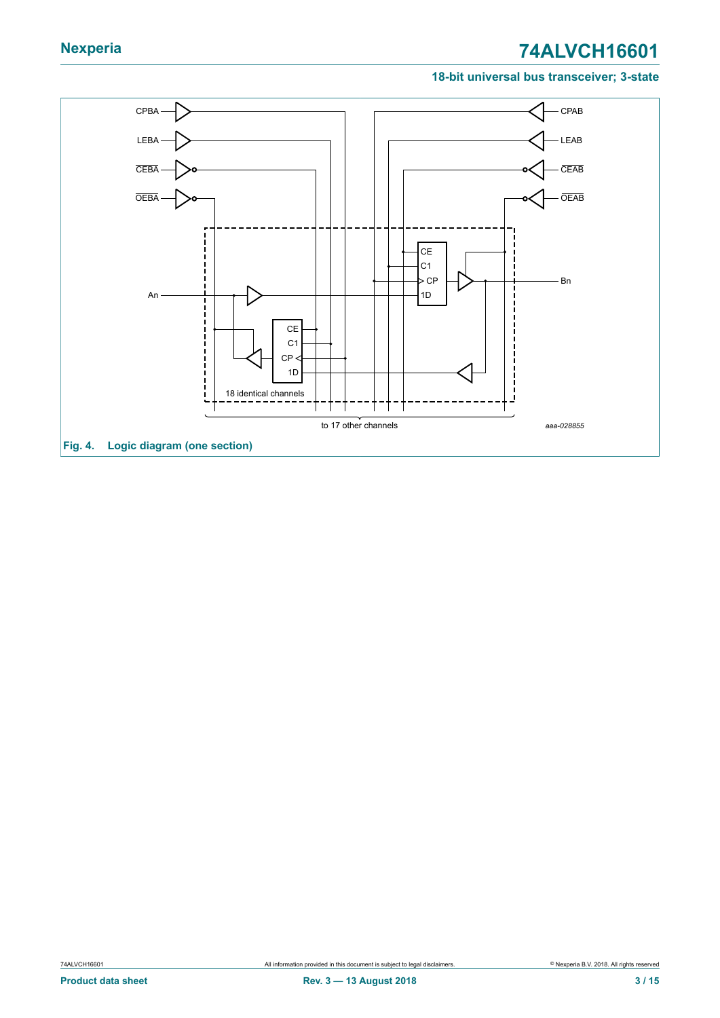#### **18-bit universal bus transceiver; 3-state**

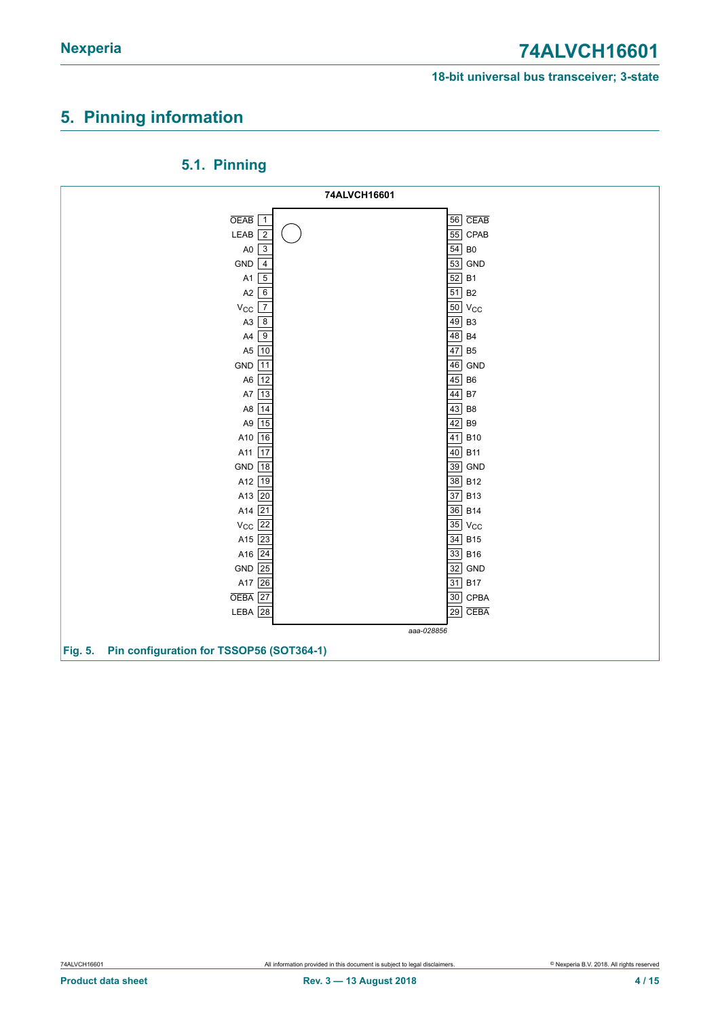### <span id="page-3-0"></span>**5. Pinning information**



<span id="page-3-1"></span>**5.1. Pinning**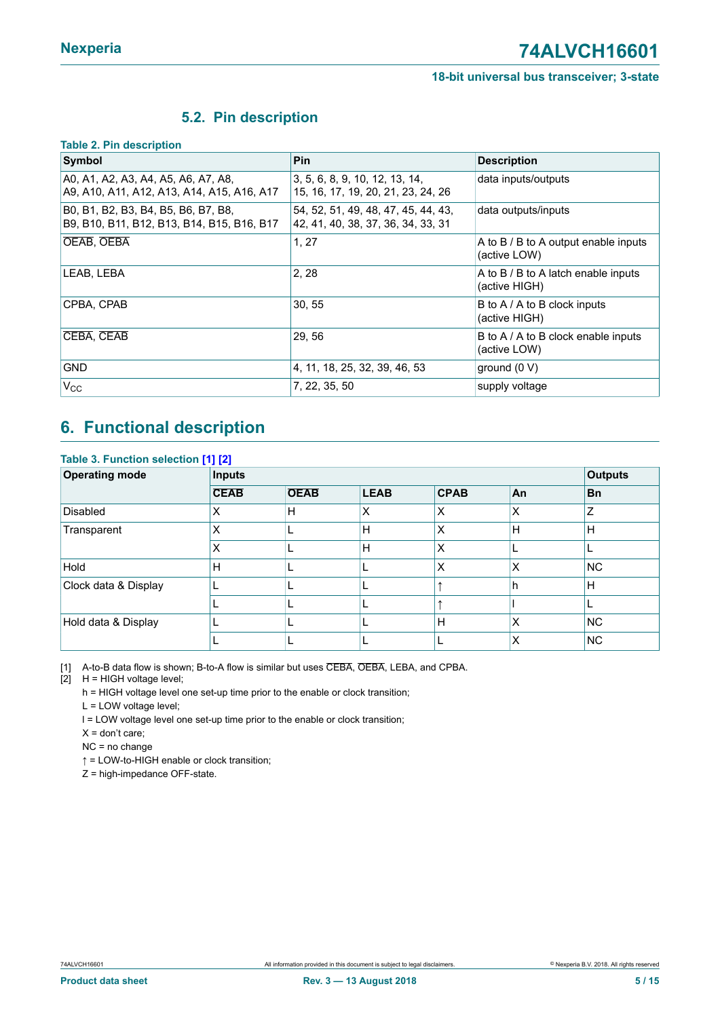### <span id="page-4-1"></span><span id="page-4-0"></span>**5.2. Pin description**

#### **Table 2. Pin description**

| Symbol                                                                            | <b>Pin</b>                                                                | <b>Description</b>                                   |
|-----------------------------------------------------------------------------------|---------------------------------------------------------------------------|------------------------------------------------------|
| A0, A1, A2, A3, A4, A5, A6, A7, A8,<br>A9, A10, A11, A12, A13, A14, A15, A16, A17 | 3, 5, 6, 8, 9, 10, 12, 13, 14,<br>15, 16, 17, 19, 20, 21, 23, 24, 26      | data inputs/outputs                                  |
| B0, B1, B2, B3, B4, B5, B6, B7, B8,<br>B9, B10, B11, B12, B13, B14, B15, B16, B17 | 54, 52, 51, 49, 48, 47, 45, 44, 43,<br>42, 41, 40, 38, 37, 36, 34, 33, 31 | data outputs/inputs                                  |
| OEAB, OEBA                                                                        | 1, 27                                                                     | A to B / B to A output enable inputs<br>(active LOW) |
| LEAB. LEBA                                                                        | 2, 28                                                                     | A to B / B to A latch enable inputs<br>(active HIGH) |
| CPBA, CPAB                                                                        | 30, 55                                                                    | B to A / A to B clock inputs<br>(active HIGH)        |
| CEBA, CEAB                                                                        | 29, 56                                                                    | B to A / A to B clock enable inputs<br>(active LOW)  |
| <b>GND</b>                                                                        | 4, 11, 18, 25, 32, 39, 46, 53                                             | ground $(0 V)$                                       |
| $V_{\rm CC}$                                                                      | 7, 22, 35, 50                                                             | supply voltage                                       |

# <span id="page-4-2"></span>**6. Functional description**

| <b>Operating mode</b> | <b>Inputs</b> |             |             |             |    | <b>Outputs</b> |
|-----------------------|---------------|-------------|-------------|-------------|----|----------------|
|                       | <b>CEAB</b>   | <b>OEAB</b> | <b>LEAB</b> | <b>CPAB</b> | An | <b>Bn</b>      |
| Disabled              | Χ             | Н           | Х           | X           | Х  | Z              |
| Transparent           | Χ             |             | H           | X           | H  | H              |
|                       | X             |             | H           | X           |    |                |
| <b>Hold</b>           | H             |             |             | X           | X  | <b>NC</b>      |
| Clock data & Display  |               |             |             |             | h  | H              |
|                       |               |             |             |             |    |                |
| Hold data & Display   |               |             |             | H           | X  | <b>NC</b>      |
|                       |               |             |             |             | x  | <b>NC</b>      |

[1] A-to-B data flow is shown; B-to-A flow is similar but uses CEBA, OEBA, LEBA, and CPBA.

 $[2]$  H = HIGH voltage level;

h = HIGH voltage level one set-up time prior to the enable or clock transition;

L = LOW voltage level;

l = LOW voltage level one set-up time prior to the enable or clock transition;

 $X =$  don't care;

NC = no change

↑ = LOW-to-HIGH enable or clock transition;

Z = high-impedance OFF-state.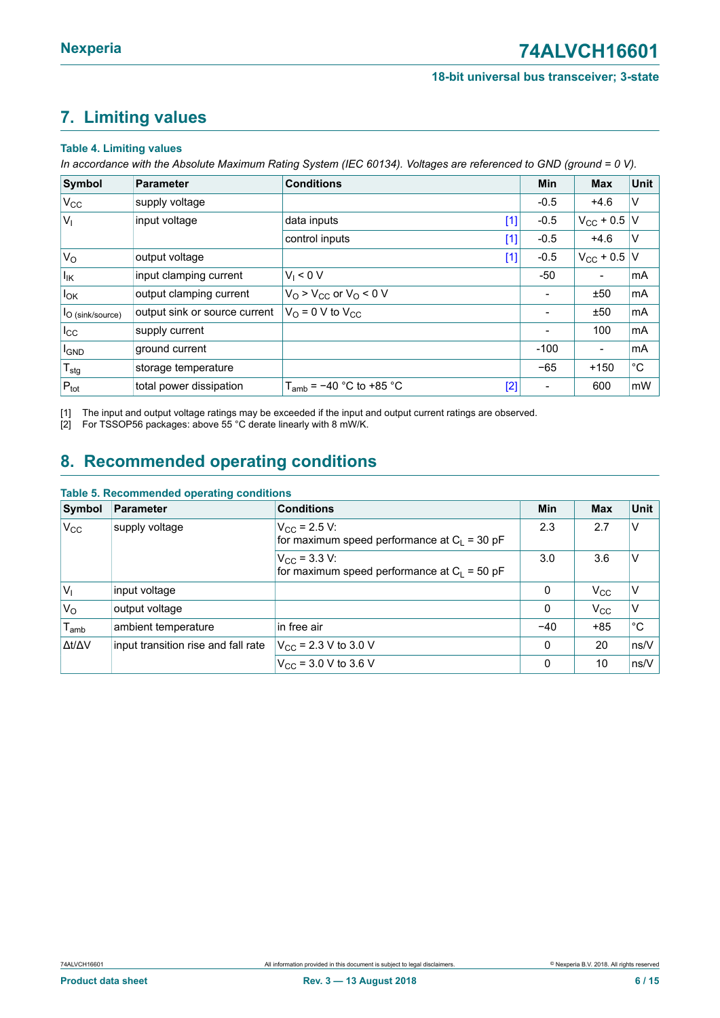# <span id="page-5-1"></span><span id="page-5-0"></span>**7. Limiting values**

#### **Table 4. Limiting values**

In accordance with the Absolute Maximum Rating System (IEC 60134). Voltages are referenced to GND (ground = 0 V).

| Symbol                       | Parameter                     | <b>Conditions</b>                                                                                                                                                                                                                       | <b>Min</b>               | <b>Max</b>             | Unit         |
|------------------------------|-------------------------------|-----------------------------------------------------------------------------------------------------------------------------------------------------------------------------------------------------------------------------------------|--------------------------|------------------------|--------------|
| $V_{\rm CC}$                 | supply voltage                |                                                                                                                                                                                                                                         | $-0.5$                   | $+4.6$                 | V            |
| V <sub>1</sub>               | input voltage                 | data inputs<br>$[1] % \includegraphics[width=0.9\columnwidth]{figures/fig_10.pdf} \caption{The figure shows the number of times on the right panel. The left panel shows the number of times on the right panel.} \label{fig:fig:time}$ | $-0.5$                   | $V_{\rm CC}$ + 0.5   V |              |
|                              |                               | control inputs<br>$[1]$                                                                                                                                                                                                                 | $-0.5$                   | $+4.6$                 | $\vee$       |
| $V_{\rm O}$                  | output voltage                | $[1]$                                                                                                                                                                                                                                   | $-0.5$                   | $V_{\rm CC}$ + 0.5   V |              |
| $I_{\mathsf{IK}}$            | input clamping current        | $V_1 < 0 V$                                                                                                                                                                                                                             | -50                      | -                      | mA           |
| $I_{OK}$                     | output clamping current       | $V_O$ > $V_{CC}$ or $V_O$ < 0 V                                                                                                                                                                                                         |                          | ±50                    | mA           |
| <sup>I</sup> O (sink/source) | output sink or source current | $V_{\text{O}}$ = 0 V to $V_{\text{CC}}$                                                                                                                                                                                                 |                          | ±50                    | mA           |
| $I_{\rm CC}$                 | supply current                |                                                                                                                                                                                                                                         |                          | 100                    | mA           |
| <b>I</b> GND                 | ground current                |                                                                                                                                                                                                                                         | $-100$                   | -                      | mA           |
| $T_{\text{stg}}$             | storage temperature           |                                                                                                                                                                                                                                         | $-65$                    | $+150$                 | $^{\circ}$ C |
| $P_{\text{tot}}$             | total power dissipation       | $T_{amb}$ = -40 °C to +85 °C<br>$[2]$                                                                                                                                                                                                   | $\overline{\phantom{a}}$ | 600                    | mW           |

[1] The input and output voltage ratings may be exceeded if the input and output current ratings are observed.<br>[2] For TSSOP56 packages: above 55 °C derate linearly with 8 mW/K.

For TSSOP56 packages: above 55 °C derate linearly with 8 mW/K.

### <span id="page-5-2"></span>**8. Recommended operating conditions**

#### **Table 5. Recommended operating conditions**

| Symbol                      | Parameter                           | <b>Conditions</b>                                                       | Min      | <b>Max</b>   | Unit          |
|-----------------------------|-------------------------------------|-------------------------------------------------------------------------|----------|--------------|---------------|
| $V_{\rm CC}$                | supply voltage                      | $V_{\rm CC}$ = 2.5 V:<br>for maximum speed performance at $C_1 = 30$ pF | 2.3      | 2.7          | V             |
|                             |                                     | $V_{\rm CC}$ = 3.3 V:<br>for maximum speed performance at $C_L$ = 50 pF | 3.0      | 3.6          | v             |
| $V_{1}$                     | input voltage                       |                                                                         | 0        | $V_{\rm CC}$ | v             |
| V <sub>O</sub>              | output voltage                      |                                                                         | 0        | $V_{\rm CC}$ | $\vee$        |
| $\mathsf{T}_{\mathsf{amb}}$ | ambient temperature                 | in free air                                                             | $-40$    | $+85$        | °C            |
| $\Delta t/\Delta V$         | input transition rise and fall rate | $V_{\rm CC}$ = 2.3 V to 3.0 V                                           | 0        | 20           | $\sqrt{ns/V}$ |
|                             |                                     | $V_{CC}$ = 3.0 V to 3.6 V                                               | $\Omega$ | 10           | $\sqrt{ns/V}$ |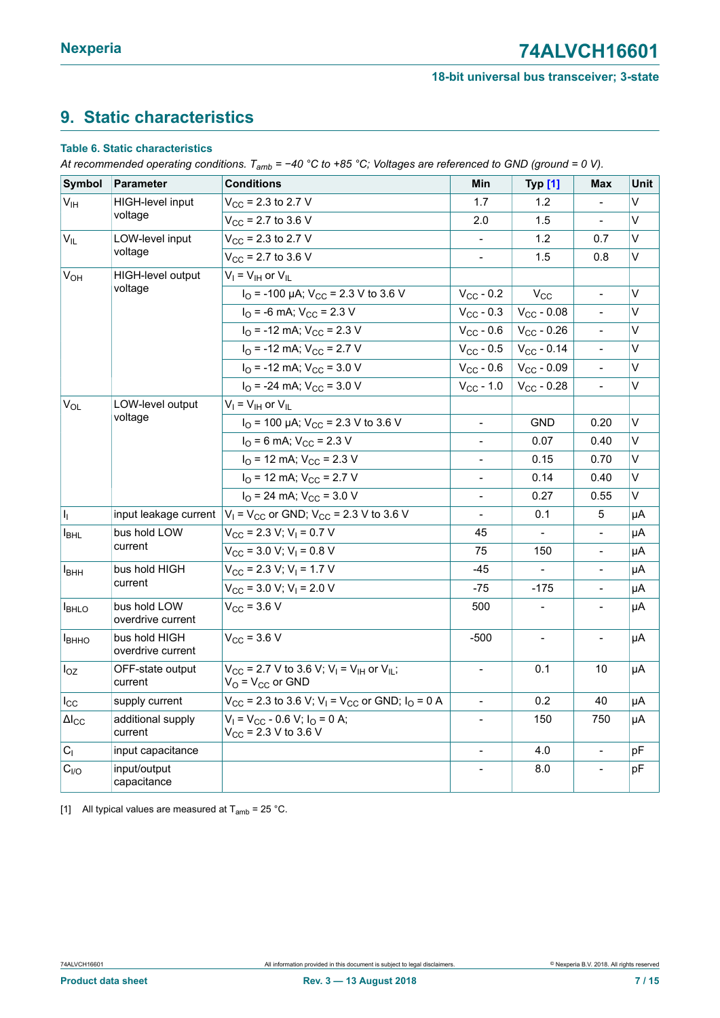## <span id="page-6-1"></span><span id="page-6-0"></span>**9. Static characteristics**

#### **Table 6. Static characteristics**

At recommended operating conditions.  $T_{amb} = -40$  °C to +85 °C; Voltages are referenced to GND (ground = 0 V).

| <b>Symbol</b>           | Parameter                          | <b>Conditions</b>                                                                                         | Min                          | <b>Typ [1]</b>      | Max                      | <b>Unit</b> |
|-------------------------|------------------------------------|-----------------------------------------------------------------------------------------------------------|------------------------------|---------------------|--------------------------|-------------|
| $V_{\text{IH}}$         | HIGH-level input                   | $V_{CC}$ = 2.3 to 2.7 V                                                                                   | 1.7                          | 1.2                 |                          | V           |
|                         | voltage                            | $V_{CC}$ = 2.7 to 3.6 V                                                                                   | 2.0                          | 1.5                 |                          | $\vee$      |
| $V_{IL}$                | LOW-level input                    | $V_{CC}$ = 2.3 to 2.7 V                                                                                   |                              | 1.2                 | 0.7                      | $\vee$      |
|                         | voltage                            | $V_{CC}$ = 2.7 to 3.6 V                                                                                   |                              | 1.5                 | 0.8                      | V           |
| $V_{OH}$                | HIGH-level output                  | $V_I = V_{IH}$ or $V_{IL}$                                                                                |                              |                     |                          |             |
|                         | voltage                            | $IO$ = -100 µA; V <sub>CC</sub> = 2.3 V to 3.6 V                                                          | $V_{CC}$ - 0.2               | $V_{\rm CC}$        | $\overline{a}$           | $\vee$      |
|                         |                                    | $I_{\text{O}}$ = -6 mA; $V_{\text{CC}}$ = 2.3 V                                                           | $V_{CC}$ - 0.3               | $V_{\rm CC}$ - 0.08 |                          | $\vee$      |
|                         |                                    | $I_{\text{O}}$ = -12 mA; $V_{\text{CC}}$ = 2.3 V                                                          | $V_{CC}$ - 0.6               | $V_{\rm CC}$ - 0.26 | $\blacksquare$           | V           |
|                         |                                    | $IO$ = -12 mA; $VCC$ = 2.7 V                                                                              | $V_{CC}$ - 0.5               | $V_{CC} - 0.14$     | $\blacksquare$           | V           |
|                         |                                    | $I_{\text{O}}$ = -12 mA; $V_{\text{CC}}$ = 3.0 V                                                          | $V_{CC}$ - 0.6               | $V_{\rm CC}$ - 0.09 | $\blacksquare$           | V           |
|                         |                                    | $I_{\text{O}}$ = -24 mA; $V_{\text{CC}}$ = 3.0 V                                                          | $V_{CC} - 1.0$               | $V_{CC} - 0.28$     | $\overline{a}$           | V           |
| $V_{OL}$                | LOW-level output                   | $V_I = V_{IH}$ or $V_{IL}$                                                                                |                              |                     |                          |             |
|                         | voltage                            | $IO$ = 100 µA; V <sub>CC</sub> = 2.3 V to 3.6 V                                                           | $\qquad \qquad \blacksquare$ | <b>GND</b>          | 0.20                     | V           |
|                         |                                    | $I_{\Omega}$ = 6 mA; $V_{\text{CC}}$ = 2.3 V                                                              |                              | 0.07                | 0.40                     | V           |
|                         |                                    | $I_{\text{O}}$ = 12 mA; $V_{\text{CC}}$ = 2.3 V                                                           | $\frac{1}{2}$                | 0.15                | 0.70                     | V           |
|                         |                                    | $I_{\Omega}$ = 12 mA; $V_{\text{CC}}$ = 2.7 V                                                             |                              | 0.14                | 0.40                     | V           |
|                         |                                    | $I_{\Omega}$ = 24 mA; $V_{\text{CC}}$ = 3.0 V                                                             | $\overline{\phantom{a}}$     | 0.27                | 0.55                     | V           |
| $\mathsf{I}_\mathrm{I}$ | input leakage current              | $V_1$ = V <sub>CC</sub> or GND; V <sub>CC</sub> = 2.3 V to 3.6 V                                          |                              | 0.1                 | 5                        | μA          |
| $I_{BHL}$               | bus hold LOW                       | $V_{CC}$ = 2.3 V; V <sub>I</sub> = 0.7 V                                                                  | 45                           | $\mathbf{r}$        | $\overline{\phantom{a}}$ | μA          |
|                         | current                            | $V_{CC}$ = 3.0 V; V <sub>I</sub> = 0.8 V                                                                  | 75                           | 150                 |                          | μA          |
| I <sub>BHH</sub>        | bus hold HIGH                      | $V_{CC}$ = 2.3 V; V <sub>1</sub> = 1.7 V                                                                  | -45                          |                     |                          | μA          |
|                         | current                            | $V_{\text{CC}}$ = 3.0 V; V <sub>1</sub> = 2.0 V                                                           | $-75$                        | $-175$              | $\Box$                   | μA          |
| <b>I</b> BHLO           | bus hold LOW<br>overdrive current  | $V_{CC}$ = 3.6 V                                                                                          | 500                          |                     | $\overline{\phantom{a}}$ | μA          |
| <b>I</b> BHHO           | bus hold HIGH<br>overdrive current | $V_{\text{CC}}$ = 3.6 V                                                                                   | $-500$                       | $\blacksquare$      | $\overline{\phantom{a}}$ | μA          |
| $I_{OZ}$                | OFF-state output<br>current        | $V_{CC}$ = 2.7 V to 3.6 V; V <sub>1</sub> = V <sub>IH</sub> or V <sub>II</sub> ;<br>$V_O = V_{CC}$ or GND | $\overline{\phantom{a}}$     | 0.1                 | 10                       | μA          |
| $I_{\rm CC}$            | supply current                     | $V_{\text{CC}}$ = 2.3 to 3.6 V; V <sub>1</sub> = V <sub>CC</sub> or GND; I <sub>O</sub> = 0 A             |                              | 0.2                 | 40                       | μA          |
| $\Delta I_{CC}$         | additional supply<br>current       | $V_1 = V_{CC} - 0.6 V$ ; $I_O = 0 A$ ;<br>$V_{CC}$ = 2.3 V to 3.6 V                                       | $\blacksquare$               | 150                 | 750                      | μA          |
| C <sub>1</sub>          | input capacitance                  |                                                                                                           |                              | 4.0                 | $\overline{\phantom{a}}$ | рF          |
| C <sub>I/O</sub>        | input/output<br>capacitance        |                                                                                                           |                              | 8.0                 | $\overline{a}$           | pF          |

[1] All typical values are measured at  $T_{amb} = 25 \degree C$ .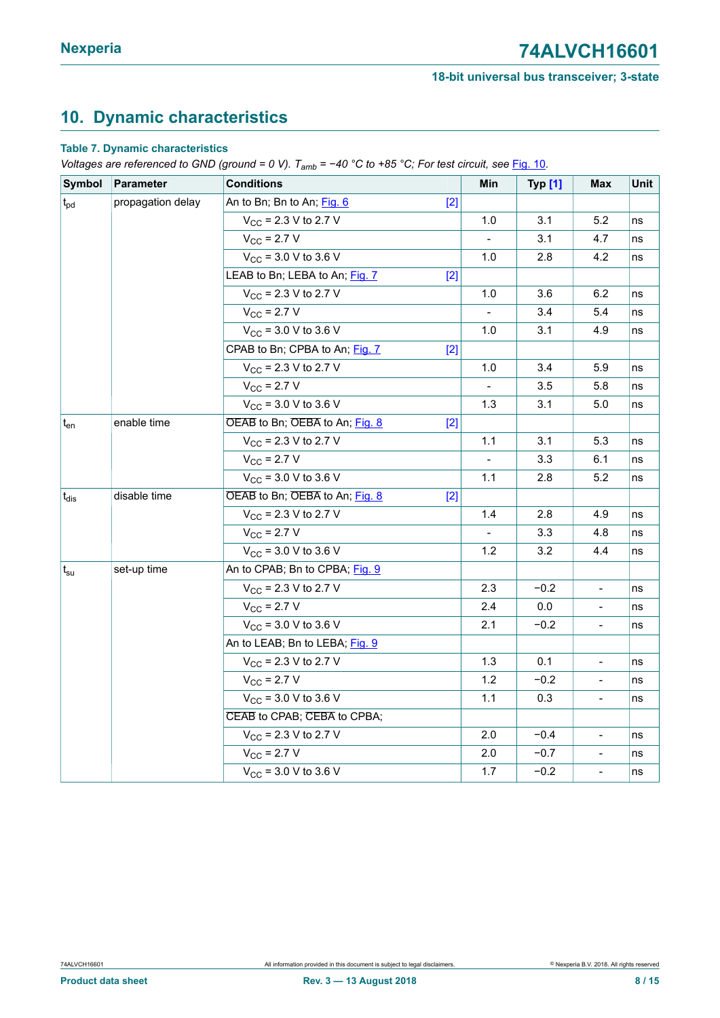# <span id="page-7-0"></span>**10. Dynamic characteristics**

#### **Table 7. Dynamic characteristics**

*Voltages are referenced to GND (ground = 0 V). Tamb = −40 °C to +85 °C; For test circuit, see* [Fig. 10](#page-10-0)*.*

| Symbol                     | Parameter         | <b>Conditions</b>                       | Min                      | <b>Typ [1]</b> | <b>Max</b>                   | Unit |
|----------------------------|-------------------|-----------------------------------------|--------------------------|----------------|------------------------------|------|
| $t_{\text{pd}}$            | propagation delay | An to Bn; Bn to An; Fig. 6<br>$[2]$     |                          |                |                              |      |
|                            |                   | $V_{CC}$ = 2.3 V to 2.7 V               | 1.0                      | 3.1            | 5.2                          | ns   |
|                            |                   | $V_{\rm CC}$ = 2.7 V                    |                          | 3.1            | 4.7                          | ns   |
|                            |                   | $V_{CC}$ = 3.0 V to 3.6 V               | 1.0                      | 2.8            | 4.2                          | ns   |
|                            |                   | LEAB to Bn; LEBA to An; Fig. 7<br>$[2]$ |                          |                |                              |      |
|                            |                   | $V_{CC}$ = 2.3 V to 2.7 V               | 1.0                      | 3.6            | 6.2                          | ns   |
|                            |                   | $V_{\text{CC}}$ = 2.7 V                 |                          | 3.4            | 5.4                          | ns   |
|                            |                   | $V_{CC}$ = 3.0 V to 3.6 V               | 1.0                      | 3.1            | 4.9                          | ns   |
|                            |                   | CPAB to Bn; CPBA to An; Fig. 7<br>$[2]$ |                          |                |                              |      |
|                            |                   | $V_{CC}$ = 2.3 V to 2.7 V               | 1.0                      | 3.4            | 5.9                          | ns   |
|                            |                   | $V_{\text{CC}}$ = 2.7 V                 |                          | 3.5            | 5.8                          | ns   |
|                            |                   | $V_{CC}$ = 3.0 V to 3.6 V               | 1.3                      | 3.1            | 5.0                          | ns   |
| t <sub>en</sub>            | enable time       | OEAB to Bn; OEBA to An; Fig. 8<br>$[2]$ |                          |                |                              |      |
|                            |                   | $V_{CC}$ = 2.3 V to 2.7 V               | 1.1                      | 3.1            | 5.3                          | ns   |
|                            |                   | $V_{\rm CC}$ = 2.7 V                    | $\blacksquare$           | 3.3            | 6.1                          | ns   |
|                            |                   | $V_{CC}$ = 3.0 V to 3.6 V               | 1.1                      | 2.8            | 5.2                          | ns   |
| $t_{dis}$                  | disable time      | OEAB to Bn; OEBA to An; Fig. 8<br>$[2]$ |                          |                |                              |      |
|                            |                   | $V_{CC}$ = 2.3 V to 2.7 V               | 1.4                      | 2.8            | 4.9                          | ns   |
|                            |                   | $V_{\rm CC}$ = 2.7 V                    | $\overline{\phantom{0}}$ | 3.3            | 4.8                          | ns   |
|                            |                   | $V_{CC}$ = 3.0 V to 3.6 V               | 1.2                      | 3.2            | 4.4                          | ns   |
| $\mathsf{t}_{\mathsf{su}}$ | set-up time       | An to CPAB; Bn to CPBA; Fig. 9          |                          |                |                              |      |
|                            |                   | $V_{CC}$ = 2.3 V to 2.7 V               | 2.3                      | $-0.2$         | $\qquad \qquad \blacksquare$ | ns   |
|                            |                   | $V_{\rm CC}$ = 2.7 V                    | 2.4                      | 0.0            | $\qquad \qquad \blacksquare$ | ns   |
|                            |                   | $V_{CC}$ = 3.0 V to 3.6 V               | 2.1                      | $-0.2$         | $\overline{a}$               | ns   |
|                            |                   | An to LEAB; Bn to LEBA; Fig. 9          |                          |                |                              |      |
|                            |                   | $V_{CC}$ = 2.3 V to 2.7 V               | 1.3                      | 0.1            | $\overline{\phantom{m}}$     | ns   |
|                            |                   | $V_{\rm CC}$ = 2.7 V                    | 1.2                      | $-0.2$         | $\qquad \qquad \blacksquare$ | ns   |
|                            |                   | $V_{CC}$ = 3.0 V to 3.6 V               | 1.1                      | 0.3            | $\overline{a}$               | ns   |
|                            |                   | CEAB to CPAB; CEBA to CPBA;             |                          |                |                              |      |
|                            |                   | $V_{CC}$ = 2.3 V to 2.7 V               | 2.0                      | $-0.4$         | $\qquad \qquad -$            | ns   |
|                            |                   | $V_{\text{CC}}$ = 2.7 V                 | 2.0                      | $-0.7$         | $\overline{\phantom{0}}$     | ns   |
|                            |                   | $V_{CC}$ = 3.0 V to 3.6 V               | 1.7                      | $-0.2$         | $\overline{a}$               | ns   |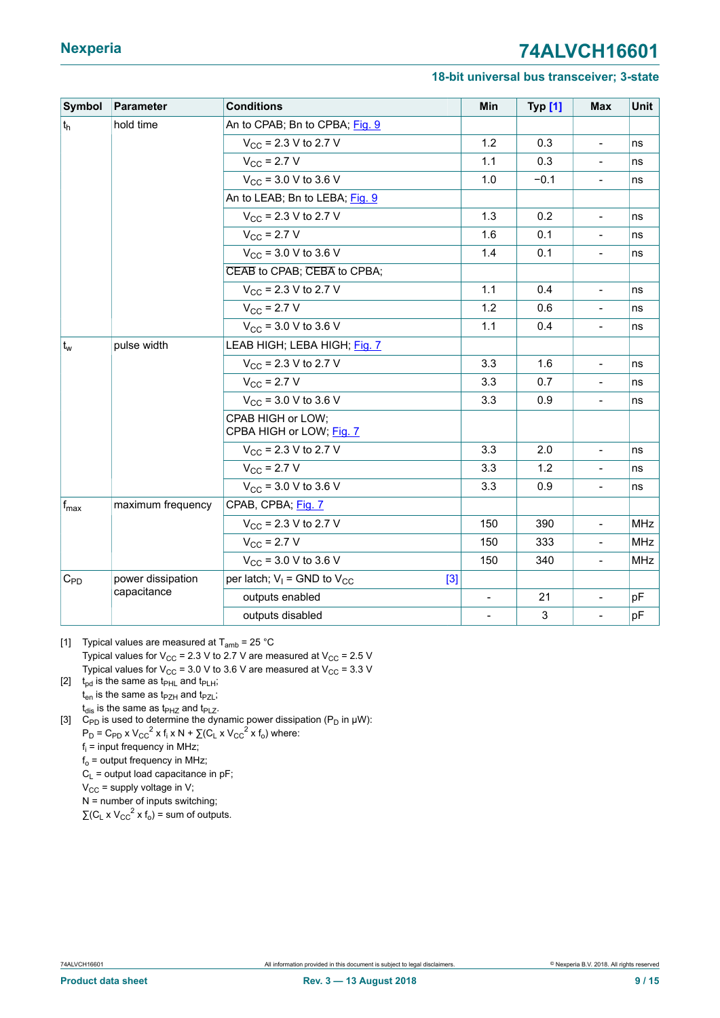#### **18-bit universal bus transceiver; 3-state**

<span id="page-8-0"></span>

| Symbol           | Parameter         | <b>Conditions</b>                             | Min                      | <b>Typ [1]</b> | <b>Max</b>                   | Unit       |
|------------------|-------------------|-----------------------------------------------|--------------------------|----------------|------------------------------|------------|
| t <sub>h</sub>   | hold time         | An to CPAB; Bn to CPBA; Fig. 9                |                          |                |                              |            |
|                  |                   | $V_{\text{CC}}$ = 2.3 V to 2.7 V              | 1.2                      | 0.3            | $\overline{a}$               | ns         |
|                  |                   | $V_{CC}$ = 2.7 V                              | 1.1                      | 0.3            | $\qquad \qquad \blacksquare$ | ns         |
|                  |                   | $V_{CC}$ = 3.0 V to 3.6 V                     | 1.0                      | $-0.1$         | $\overline{a}$               | ns         |
|                  |                   | An to LEAB; Bn to LEBA; Fig. 9                |                          |                |                              |            |
|                  |                   | $V_{CC}$ = 2.3 V to 2.7 V                     | 1.3                      | 0.2            | $\qquad \qquad \blacksquare$ | ns         |
|                  |                   | $V_{\rm CC}$ = 2.7 V                          | 1.6                      | 0.1            | $\overline{a}$               | ns         |
|                  |                   | $V_{CC}$ = 3.0 V to 3.6 V                     | 1.4                      | 0.1            | $\frac{1}{2}$                | ns         |
|                  |                   | CEAB to CPAB; CEBA to CPBA;                   |                          |                |                              |            |
|                  |                   | $V_{CC}$ = 2.3 V to 2.7 V                     | 1.1                      | 0.4            | $\blacksquare$               | ns         |
|                  |                   | $V_{\rm CC}$ = 2.7 V                          | 1.2                      | 0.6            | $\overline{a}$               | ns         |
|                  |                   | $V_{CC}$ = 3.0 V to 3.6 V                     | 1.1                      | 0.4            | $\overline{a}$               | ns         |
| $ t_{w}$         | pulse width       | LEAB HIGH; LEBA HIGH; Fig. 7                  |                          |                |                              |            |
|                  |                   | $V_{CC}$ = 2.3 V to 2.7 V                     | 3.3                      | 1.6            | $\overline{a}$               | ns         |
|                  |                   | $V_{CC}$ = 2.7 V                              | 3.3                      | 0.7            | $\blacksquare$               | ns         |
|                  |                   | $V_{CC}$ = 3.0 V to 3.6 V                     | 3.3                      | 0.9            | $\overline{a}$               | ns         |
|                  |                   | CPAB HIGH or LOW;<br>CPBA HIGH or LOW; Fig. 7 |                          |                |                              |            |
|                  |                   | $V_{CC}$ = 2.3 V to 2.7 V                     | 3.3                      | 2.0            | $\overline{a}$               | ns         |
|                  |                   | $V_{\rm CC}$ = 2.7 V                          | 3.3                      | 1.2            | $\frac{1}{2}$                | ns         |
|                  |                   | $V_{CC}$ = 3.0 V to 3.6 V                     | 3.3                      | 0.9            | $\overline{a}$               | ns         |
| $f_{\text{max}}$ | maximum frequency | CPAB, CPBA; Fig. 7                            |                          |                |                              |            |
|                  |                   | $V_{CC}$ = 2.3 V to 2.7 V                     | 150                      | 390            | $\blacksquare$               | <b>MHz</b> |
|                  |                   | $V_{\rm CC}$ = 2.7 V                          | 150                      | 333            | $\overline{a}$               | <b>MHz</b> |
|                  |                   | $V_{CC}$ = 3.0 V to 3.6 V                     | 150                      | 340            | $\blacksquare$               | <b>MHz</b> |
| $C_{PD}$         | power dissipation | per latch; $V_1$ = GND to $V_{CC}$<br>$[3]$   |                          |                |                              |            |
|                  | capacitance       | outputs enabled                               | $\overline{a}$           | 21             | $\blacksquare$               | pF         |
|                  |                   | outputs disabled                              | $\overline{\phantom{0}}$ | $\mathsf 3$    | $\frac{1}{2}$                | pF         |

[1] Typical values are measured at  $T_{amb}$  = 25 °C Typical values for  $V_{CC}$  = 2.3 V to 2.7 V are measured at  $V_{CC}$  = 2.5 V Typical values for  $V_{CC}$  = 3.0 V to 3.6 V are measured at  $V_{CC}$  = 3.3 V

[2]  $t_{\text{od}}$  is the same as  $t_{\text{PHL}}$  and  $t_{\text{PLH}}$ ;  $t_{en}$  is the same as  $t_{PZH}$  and  $t_{PZL}$ ;  $t_{dis}$  is the same as  $t_{P+Z}$  and  $t_{P+Z}$ .

[3]  $C_{\text{PD}}$  is used to determine the dynamic power dissipation (P<sub>D</sub> in  $\mu$ W):  $P_D = C_{PD} \times V_{CC}^2 \times f_i \times N + \sum (C_L \times V_{CC}^2 \times f_0)$  where: fi = input frequency in MHz;  $f_0$  = output frequency in MHz;  $C_L$  = output load capacitance in pF;

 $V_{CC}$  = supply voltage in V; N = number of inputs switching;

 $\sum (C_L \times V_{CC}^2 \times f_0) = \text{sum of outputs.}$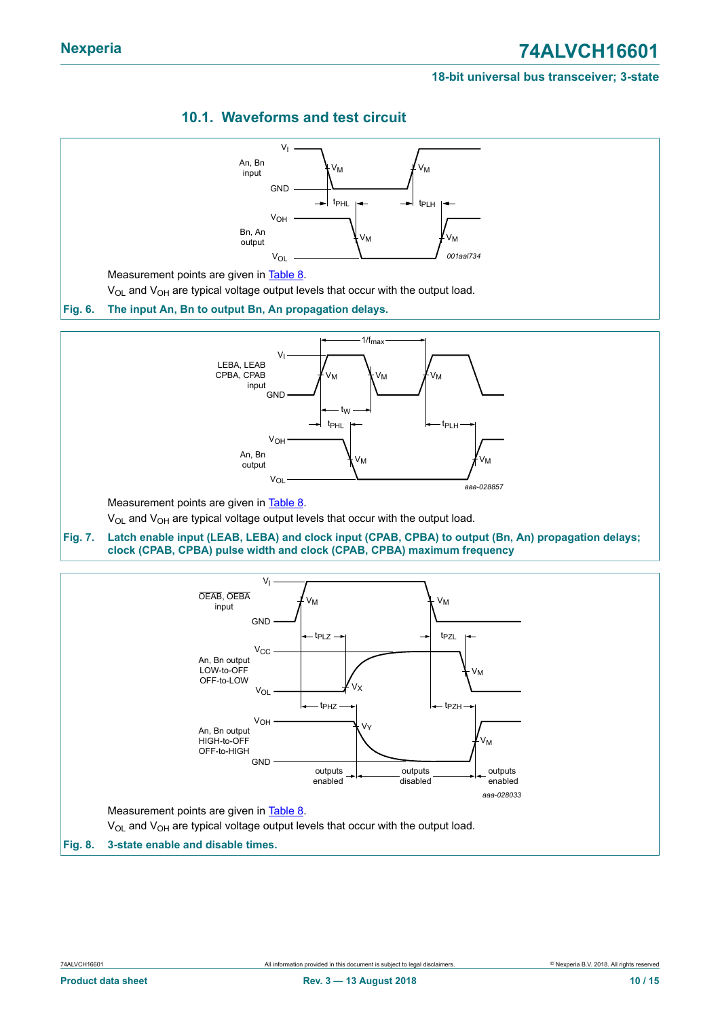#### **18-bit universal bus transceiver; 3-state**

### <span id="page-9-3"></span>**10.1. Waveforms and test circuit**

<span id="page-9-2"></span><span id="page-9-1"></span><span id="page-9-0"></span>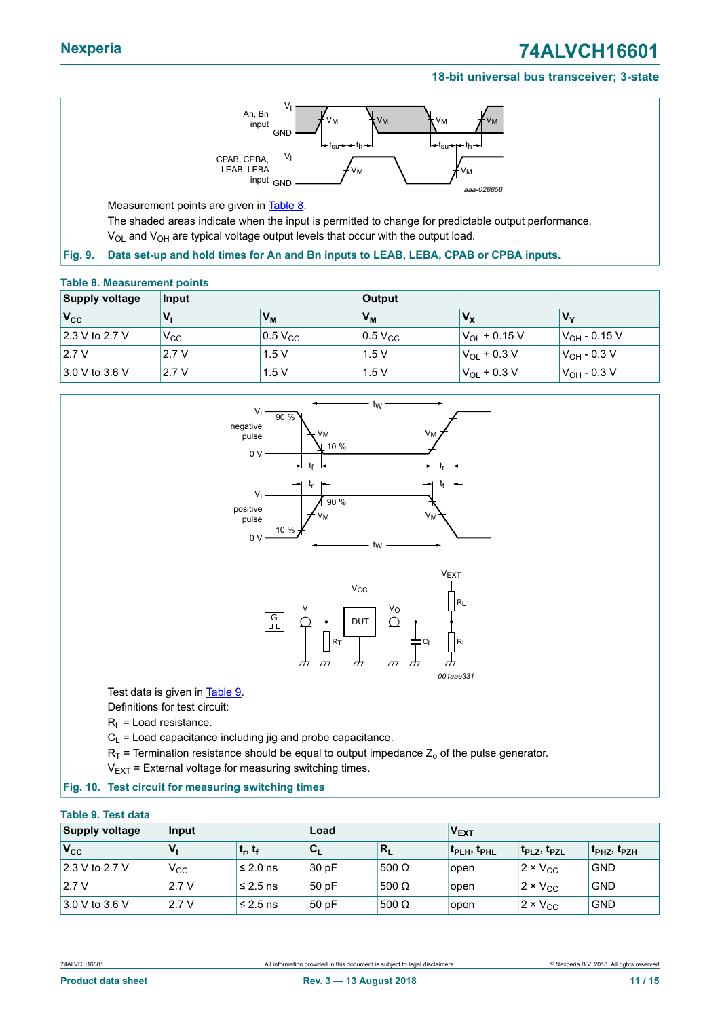#### **18-bit universal bus transceiver; 3-state**



<span id="page-10-1"></span>Measurement points are given in **Table 8**.

<span id="page-10-2"></span>The shaded areas indicate when the input is permitted to change for predictable output performance.  $V_{OL}$  and  $V_{OH}$  are typical voltage output levels that occur with the output load.

#### **Fig. 9. Data set-up and hold times for An and Bn inputs to LEAB, LEBA, CPAB or CPBA inputs.**

#### **Table 8. Measurement points**

| <b>Supply voltage</b>  | Input        |                       | <b>Output</b>         |                       |                        |
|------------------------|--------------|-----------------------|-----------------------|-----------------------|------------------------|
| $V_{\rm CC}$           | V,           | V <sub>м</sub>        | $V_M$                 | $V_{\rm X}$           | 'V <sub>v</sub>        |
| $\vert$ 2.3 V to 2.7 V | $V_{\rm CC}$ | $0.5$ V <sub>CC</sub> | $0.5$ V <sub>CC</sub> | $V_{\Omega}$ + 0.15 V | $ V_{\rm OH}$ - 0.15 V |
| 2.7V                   | 2.7V         | 1.5V                  | 1.5V                  | $V_{OL}$ + 0.3 V      | $V_{OH}$ - 0.3 V       |
| $3.0 V$ to 3.6 V       | 2.7V         | 1.5V                  | 1.5V                  | $V_{OL}$ + 0.3 V      | $ V_{\rm OH}$ - 0.3 V  |

<span id="page-10-0"></span>

 $R_1$  = Load resistance.

 $C_1$  = Load capacitance including jig and probe capacitance.

 $R_T$  = Termination resistance should be equal to output impedance  $Z_0$  of the pulse generator.

<span id="page-10-3"></span> $V_{EXT}$  = External voltage for measuring switching times.

#### **Fig. 10. Test circuit for measuring switching times**

#### **Table 9. Test data**

| <b>Supply voltage</b><br>Input  |              | Load          |                           |                 | V <sub>EXT</sub>                    |                                     |                                     |
|---------------------------------|--------------|---------------|---------------------------|-----------------|-------------------------------------|-------------------------------------|-------------------------------------|
| $V_{\rm CC}$                    |              | $ t_r, t_f $  | $\mathbf{c}_{\mathsf{L}}$ | ∣R <sub>L</sub> | t <sub>PLH</sub> , t <sub>PHL</sub> | t <sub>PLZ</sub> , t <sub>PZL</sub> | t <sub>PHZ</sub> , t <sub>PZH</sub> |
| $ 2.3 \vee \text{to } 2.7 \vee$ | $V_{\rm CC}$ | $\leq$ 2.0 ns | 30 pF                     | $500$ Ω         | open                                | $2 \times V_{CC}$                   | <b>GND</b>                          |
| 2.7V                            | 2.7V         | l≤ 2.5 ns     | 50 pF                     | 500 Ω           | open                                | $2 \times V_{CC}$                   | <b>GND</b>                          |
| $ 3.0 V$ to 3.6 V               | 2.7V         | l≤ 2.5 ns     | 50 pF                     | 500 Ω           | open                                | $2 \times V_{CC}$                   | <b>GND</b>                          |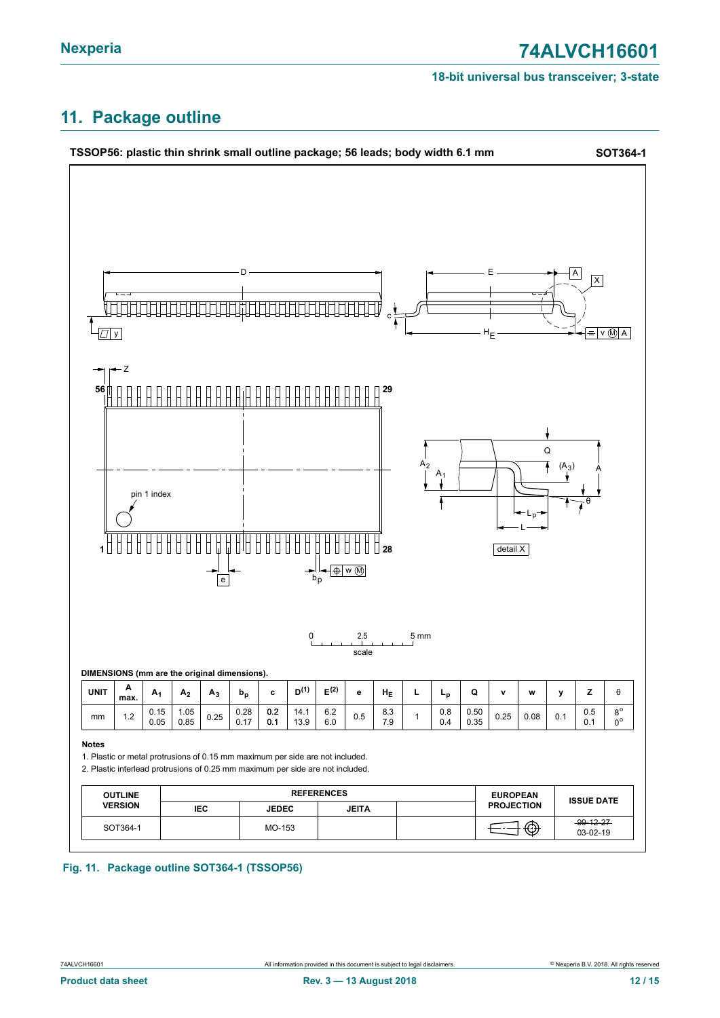#### **18-bit universal bus transceiver; 3-state**

# <span id="page-11-0"></span>**11. Package outline**



#### **Fig. 11. Package outline SOT364-1 (TSSOP56)**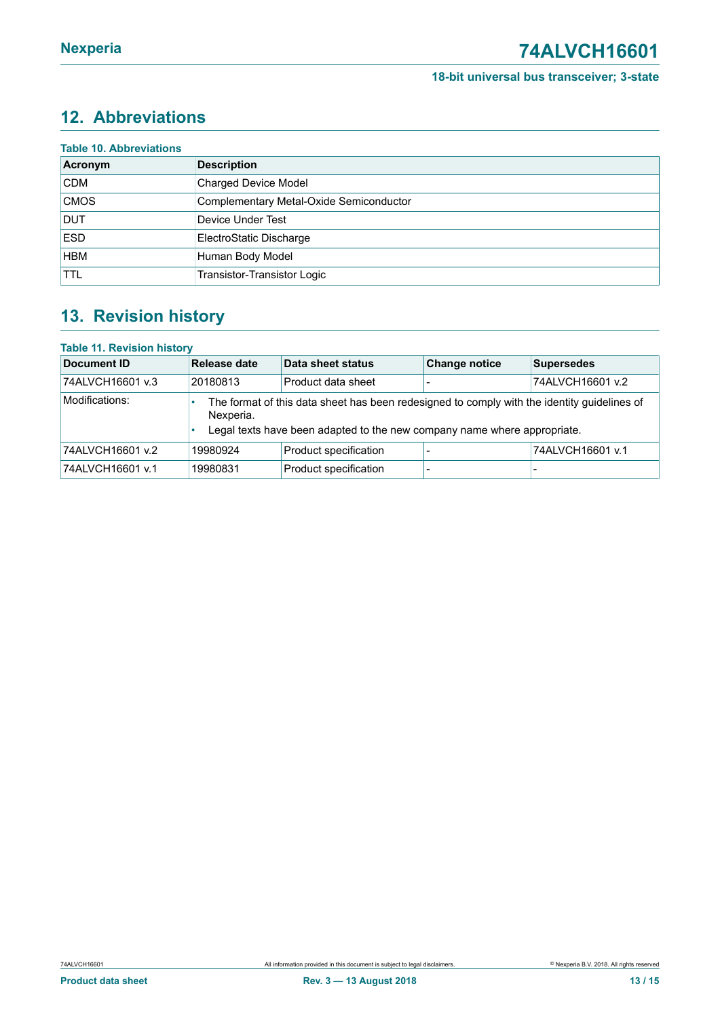# <span id="page-12-0"></span>**12. Abbreviations**

| Acronym     | <b>Description</b>                      |
|-------------|-----------------------------------------|
| <b>CDM</b>  | <b>Charged Device Model</b>             |
| <b>CMOS</b> | Complementary Metal-Oxide Semiconductor |
| <b>DUT</b>  | Device Under Test                       |
| <b>ESD</b>  | ElectroStatic Discharge                 |
| <b>HBM</b>  | Human Body Model                        |
| <b>TTL</b>  | Transistor-Transistor Logic             |

# <span id="page-12-1"></span>**13. Revision history**

| <b>Table 11. Revision history</b> |                                                                                                                                                                                      |                       |                      |                   |  |  |  |
|-----------------------------------|--------------------------------------------------------------------------------------------------------------------------------------------------------------------------------------|-----------------------|----------------------|-------------------|--|--|--|
| Document ID                       | Release date                                                                                                                                                                         | Data sheet status     | <b>Change notice</b> | <b>Supersedes</b> |  |  |  |
| 74ALVCH16601 v.3                  | 20180813                                                                                                                                                                             | Product data sheet    |                      | 74ALVCH16601 v.2  |  |  |  |
| Modifications:                    | The format of this data sheet has been redesigned to comply with the identity guidelines of<br>Nexperia.<br>Legal texts have been adapted to the new company name where appropriate. |                       |                      |                   |  |  |  |
| 74ALVCH16601 v.2                  | 19980924                                                                                                                                                                             | Product specification |                      | 74ALVCH16601 v.1  |  |  |  |
| 74ALVCH16601 v.1                  | 19980831                                                                                                                                                                             | Product specification |                      |                   |  |  |  |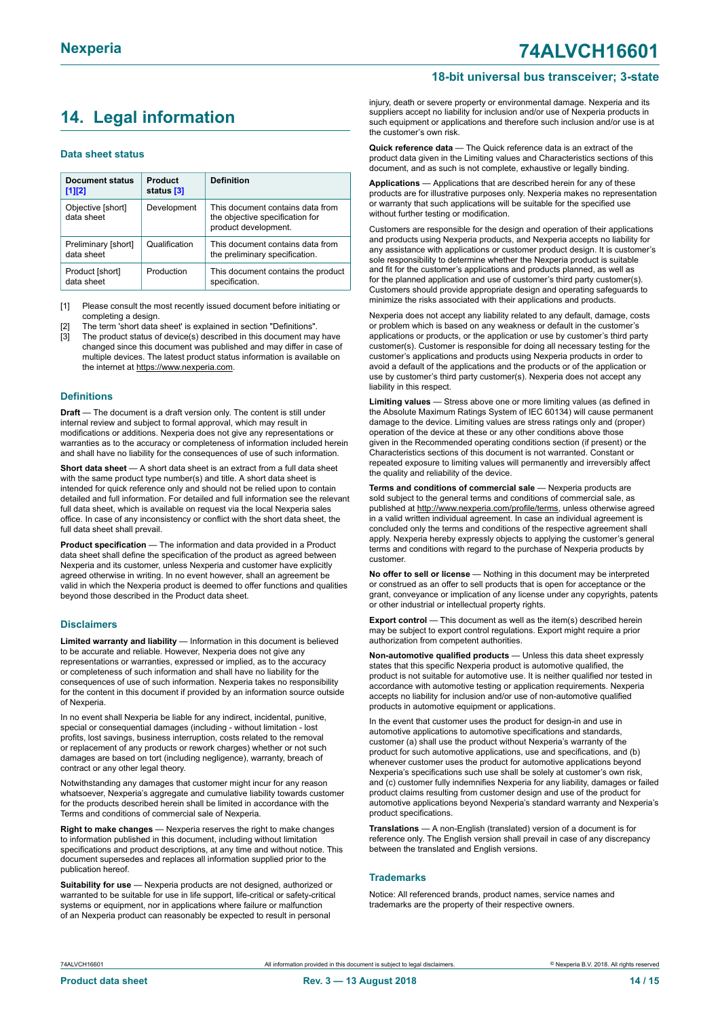# <span id="page-13-0"></span>**14. Legal information**

#### **Data sheet status**

| Document status<br>$[1]$ [2]      | <b>Product</b><br>status [3] | <b>Definition</b>                                                                           |
|-----------------------------------|------------------------------|---------------------------------------------------------------------------------------------|
| Objective [short]<br>data sheet   | Development                  | This document contains data from<br>the objective specification for<br>product development. |
| Preliminary [short]<br>data sheet | Qualification                | This document contains data from<br>the preliminary specification.                          |
| Product [short]<br>data sheet     | Production                   | This document contains the product<br>specification.                                        |

[1] Please consult the most recently issued document before initiating or completing a design.

The term 'short data sheet' is explained in section "Definitions".

[3] The product status of device(s) described in this document may have changed since this document was published and may differ in case of multiple devices. The latest product status information is available on the internet at [https://www.nexperia.com.](https://www.nexperia.com)

#### **Definitions**

**Draft** — The document is a draft version only. The content is still under internal review and subject to formal approval, which may result in modifications or additions. Nexperia does not give any representations or warranties as to the accuracy or completeness of information included herein and shall have no liability for the consequences of use of such information.

**Short data sheet** — A short data sheet is an extract from a full data sheet with the same product type number(s) and title. A short data sheet is intended for quick reference only and should not be relied upon to contain detailed and full information. For detailed and full information see the relevant full data sheet, which is available on request via the local Nexperia sales office. In case of any inconsistency or conflict with the short data sheet, the full data sheet shall prevail.

**Product specification** — The information and data provided in a Product data sheet shall define the specification of the product as agreed between Nexperia and its customer, unless Nexperia and customer have explicitly agreed otherwise in writing. In no event however, shall an agreement be valid in which the Nexperia product is deemed to offer functions and qualities beyond those described in the Product data sheet.

#### **Disclaimers**

**Limited warranty and liability** — Information in this document is believed to be accurate and reliable. However, Nexperia does not give any representations or warranties, expressed or implied, as to the accuracy or completeness of such information and shall have no liability for the consequences of use of such information. Nexperia takes no responsibility for the content in this document if provided by an information source outside of Nexperia.

In no event shall Nexperia be liable for any indirect, incidental, punitive, special or consequential damages (including - without limitation - lost profits, lost savings, business interruption, costs related to the removal or replacement of any products or rework charges) whether or not such damages are based on tort (including negligence), warranty, breach of contract or any other legal theory.

Notwithstanding any damages that customer might incur for any reason whatsoever, Nexperia's aggregate and cumulative liability towards customer for the products described herein shall be limited in accordance with the Terms and conditions of commercial sale of Nexperia.

**Right to make changes** — Nexperia reserves the right to make changes to information published in this document, including without limitation specifications and product descriptions, at any time and without notice. This document supersedes and replaces all information supplied prior to the publication hereof

**Suitability for use** — Nexperia products are not designed, authorized or warranted to be suitable for use in life support, life-critical or safety-critical systems or equipment, nor in applications where failure or malfunction of an Nexperia product can reasonably be expected to result in personal

injury, death or severe property or environmental damage. Nexperia and its suppliers accept no liability for inclusion and/or use of Nexperia products in such equipment or applications and therefore such inclusion and/or use is at the customer's own risk.

**18-bit universal bus transceiver; 3-state**

**Quick reference data** — The Quick reference data is an extract of the product data given in the Limiting values and Characteristics sections of this document, and as such is not complete, exhaustive or legally binding.

**Applications** — Applications that are described herein for any of these products are for illustrative purposes only. Nexperia makes no representation or warranty that such applications will be suitable for the specified use without further testing or modification.

Customers are responsible for the design and operation of their applications and products using Nexperia products, and Nexperia accepts no liability for any assistance with applications or customer product design. It is customer's sole responsibility to determine whether the Nexperia product is suitable and fit for the customer's applications and products planned, as well as for the planned application and use of customer's third party customer(s). Customers should provide appropriate design and operating safeguards to minimize the risks associated with their applications and products.

Nexperia does not accept any liability related to any default, damage, costs or problem which is based on any weakness or default in the customer's applications or products, or the application or use by customer's third party customer(s). Customer is responsible for doing all necessary testing for the customer's applications and products using Nexperia products in order to avoid a default of the applications and the products or of the application or use by customer's third party customer(s). Nexperia does not accept any liability in this respect.

**Limiting values** — Stress above one or more limiting values (as defined in the Absolute Maximum Ratings System of IEC 60134) will cause permanent damage to the device. Limiting values are stress ratings only and (proper) operation of the device at these or any other conditions above those given in the Recommended operating conditions section (if present) or the Characteristics sections of this document is not warranted. Constant or repeated exposure to limiting values will permanently and irreversibly affect the quality and reliability of the device.

**Terms and conditions of commercial sale** — Nexperia products are sold subject to the general terms and conditions of commercial sale, as published at [http://www.nexperia.com/profile/terms,](http://www.nexperia.com/profile/terms) unless otherwise agreed in a valid written individual agreement. In case an individual agreement is concluded only the terms and conditions of the respective agreement shall apply. Nexperia hereby expressly objects to applying the customer's general terms and conditions with regard to the purchase of Nexperia products by customer.

**No offer to sell or license** — Nothing in this document may be interpreted or construed as an offer to sell products that is open for acceptance or the grant, conveyance or implication of any license under any copyrights, patents or other industrial or intellectual property rights.

**Export control** — This document as well as the item(s) described herein may be subject to export control regulations. Export might require a prior authorization from competent authorities.

**Non-automotive qualified products** — Unless this data sheet expressly states that this specific Nexperia product is automotive qualified, the product is not suitable for automotive use. It is neither qualified nor tested in accordance with automotive testing or application requirements. Nexperia accepts no liability for inclusion and/or use of non-automotive qualified products in automotive equipment or applications.

In the event that customer uses the product for design-in and use in automotive applications to automotive specifications and standards, customer (a) shall use the product without Nexperia's warranty of the product for such automotive applications, use and specifications, and (b) whenever customer uses the product for automotive applications beyond Nexperia's specifications such use shall be solely at customer's own risk, and (c) customer fully indemnifies Nexperia for any liability, damages or failed product claims resulting from customer design and use of the product for automotive applications beyond Nexperia's standard warranty and Nexperia's product specifications.

**Translations** — A non-English (translated) version of a document is for reference only. The English version shall prevail in case of any discrepancy between the translated and English versions.

#### **Trademarks**

Notice: All referenced brands, product names, service names and trademarks are the property of their respective owners.